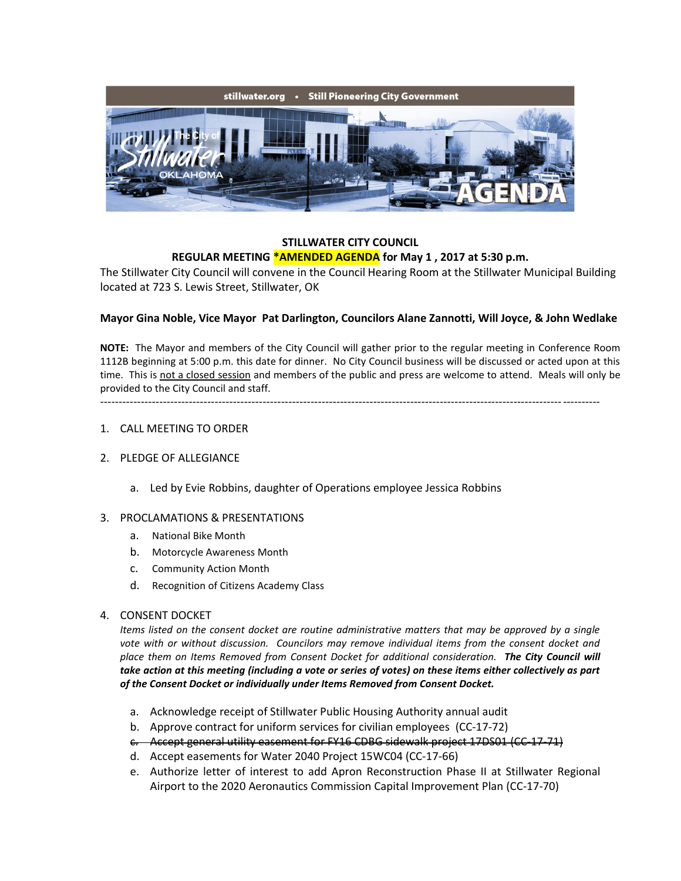

#### **STILLWATER CITY COUNCIL REGULAR MEETING \*AMENDED AGENDA for May 1 , 2017 at 5:30 p.m.**

The Stillwater City Council will convene in the Council Hearing Room at the Stillwater Municipal Building located at 723 S. Lewis Street, Stillwater, OK

## **Mayor Gina Noble, Vice Mayor Pat Darlington, Councilors Alane Zannotti, Will Joyce, & John Wedlake**

**NOTE:** The Mayor and members of the City Council will gather prior to the regular meeting in Conference Room 1112B beginning at 5:00 p.m. this date for dinner. No City Council business will be discussed or acted upon at this time. This is not a closed session and members of the public and press are welcome to attend. Meals will only be provided to the City Council and staff.

---------------------------------------------------------------------------------------------------------------------------------------

#### 1. CALL MEETING TO ORDER

#### 2. PLEDGE OF ALLEGIANCE

a. Led by Evie Robbins, daughter of Operations employee Jessica Robbins

#### 3. PROCLAMATIONS & PRESENTATIONS

- a. National Bike Month
- b. Motorcycle Awareness Month
- c. Community Action Month
- d. Recognition of Citizens Academy Class

#### 4. CONSENT DOCKET

*Items listed on the consent docket are routine administrative matters that may be approved by a single vote with or without discussion. Councilors may remove individual items from the consent docket and place them on Items Removed from Consent Docket for additional consideration. The City Council will take action at this meeting (including a vote or series of votes) on these items either collectively as part of the Consent Docket or individually under Items Removed from Consent Docket.*

- a. Acknowledge receipt of Stillwater Public Housing Authority annual audit
- b. Approve contract for uniform services for civilian employees (CC-17-72)
- c. Accept general utility easement for FY16 CDBG sidewalk project 17DS01 (CC-17-71)
- d. Accept easements for Water 2040 Project 15WC04 (CC-17-66)
- e. Authorize letter of interest to add Apron Reconstruction Phase II at Stillwater Regional Airport to the 2020 Aeronautics Commission Capital Improvement Plan (CC-17-70)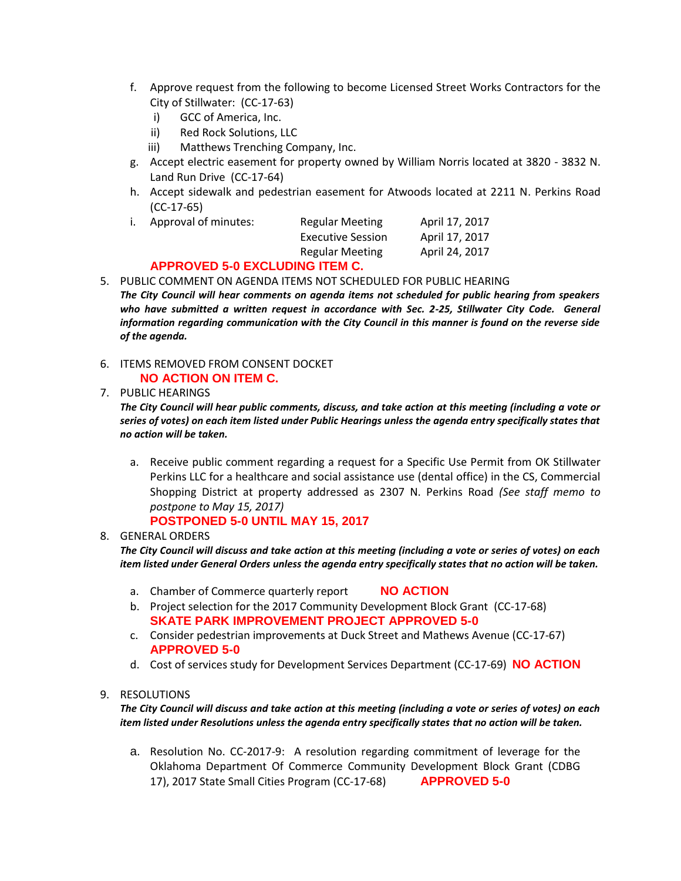- f. Approve request from the following to become Licensed Street Works Contractors for the City of Stillwater: (CC-17-63)
	- i) GCC of America, Inc.
	- ii) Red Rock Solutions, LLC
	- iii) Matthews Trenching Company, Inc.
- g. Accept electric easement for property owned by William Norris located at 3820 3832 N. Land Run Drive (CC-17-64)
- h. Accept sidewalk and pedestrian easement for Atwoods located at 2211 N. Perkins Road (CC-17-65)

| Ι. | Approval of minutes: | <b>Regular Meeting</b> | April 17, 2017 |
|----|----------------------|------------------------|----------------|
|    |                      | Executive Session      | April 17, 2017 |
|    |                      | Regular Meeting        | April 24, 2017 |

## **APPROVED 5-0 EXCLUDING ITEM C.**

5. PUBLIC COMMENT ON AGENDA ITEMS NOT SCHEDULED FOR PUBLIC HEARING *The City Council will hear comments on agenda items not scheduled for public hearing from speakers*  who have submitted a written request in accordance with Sec. 2-25, Stillwater City Code. General *information regarding communication with the City Council in this manner is found on the reverse side of the agenda.*

### 6. ITEMS REMOVED FROM CONSENT DOCKET **NO ACTION ON ITEM C.**

7. PUBLIC HEARINGS

*The City Council will hear public comments, discuss, and take action at this meeting (including a vote or series of votes) on each item listed under Public Hearings unless the agenda entry specifically states that no action will be taken.*

a. Receive public comment regarding a request for a Specific Use Permit from OK Stillwater Perkins LLC for a healthcare and social assistance use (dental office) in the CS, Commercial Shopping District at property addressed as 2307 N. Perkins Road *(See staff memo to postpone to May 15, 2017)*

# **POSTPONED 5-0 UNTIL MAY 15, 2017**

## 8. GENERAL ORDERS

*The City Council will discuss and take action at this meeting (including a vote or series of votes) on each item listed under General Orders unless the agenda entry specifically states that no action will be taken.*

- a. Chamber of Commerce quarterly report **NO ACTION**
- b. Project selection for the 2017 Community Development Block Grant (CC-17-68) **SKATE PARK IMPROVEMENT PROJECT APPROVED 5-0**
- c. Consider pedestrian improvements at Duck Street and Mathews Avenue (CC-17-67) **APPROVED 5-0**
- d. Cost of services study for Development Services Department (CC-17-69) **NO ACTION**

## 9. RESOLUTIONS

*The City Council will discuss and take action at this meeting (including a vote or series of votes) on each item listed under Resolutions unless the agenda entry specifically states that no action will be taken.*

a. Resolution No. CC-2017-9: A resolution regarding commitment of leverage for the Oklahoma Department Of Commerce Community Development Block Grant (CDBG 17), 2017 State Small Cities Program (CC-17-68) **APPROVED 5-0**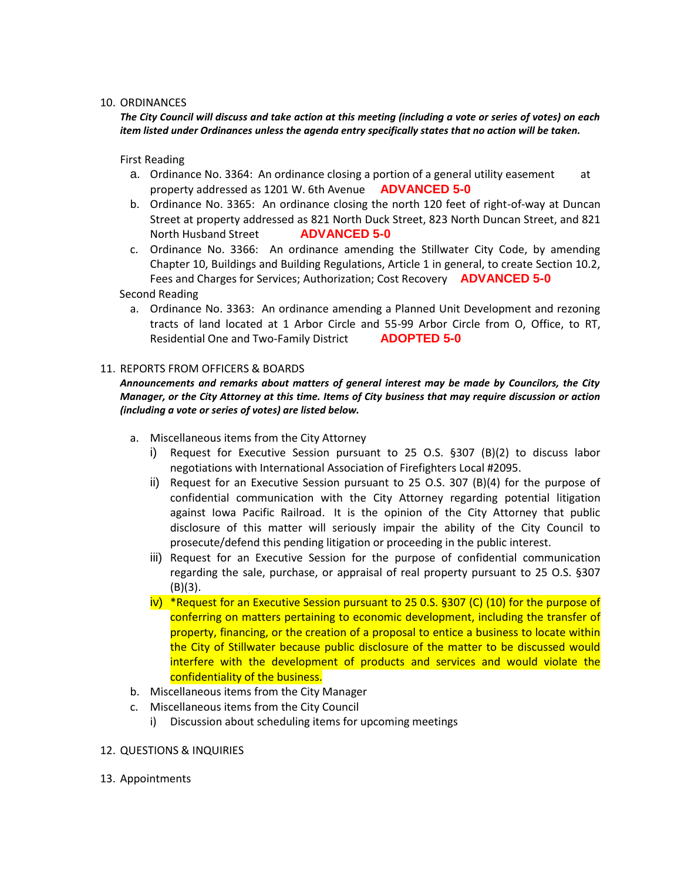#### 10. ORDINANCES

*The City Council will discuss and take action at this meeting (including a vote or series of votes) on each item listed under Ordinances unless the agenda entry specifically states that no action will be taken.*

First Reading

- a. Ordinance No. 3364: An ordinance closing a portion of a general utility easement at property addressed as 1201 W. 6th Avenue **ADVANCED 5-0**
- b. Ordinance No. 3365: An ordinance closing the north 120 feet of right-of-way at Duncan Street at property addressed as 821 North Duck Street, 823 North Duncan Street, and 821 North Husband Street **ADVANCED 5-0**
- c. Ordinance No. 3366: An ordinance amending the Stillwater City Code, by amending Chapter 10, Buildings and Building Regulations, Article 1 in general, to create Section 10.2, Fees and Charges for Services; Authorization; Cost Recovery **ADVANCED 5-0**

#### Second Reading

a. Ordinance No. 3363: An ordinance amending a Planned Unit Development and rezoning tracts of land located at 1 Arbor Circle and 55-99 Arbor Circle from O, Office, to RT, Residential One and Two-Family District **ADOPTED 5-0**

#### 11. REPORTS FROM OFFICERS & BOARDS

*Announcements and remarks about matters of general interest may be made by Councilors, the City Manager, or the City Attorney at this time. Items of City business that may require discussion or action (including a vote or series of votes) are listed below.*

- a. Miscellaneous items from the City Attorney
	- i) Request for Executive Session pursuant to 25 O.S. §307 (B)(2) to discuss labor negotiations with International Association of Firefighters Local #2095.
	- ii) Request for an Executive Session pursuant to 25 O.S. 307 (B)(4) for the purpose of confidential communication with the City Attorney regarding potential litigation against Iowa Pacific Railroad. It is the opinion of the City Attorney that public disclosure of this matter will seriously impair the ability of the City Council to prosecute/defend this pending litigation or proceeding in the public interest.
	- iii) Request for an Executive Session for the purpose of confidential communication regarding the sale, purchase, or appraisal of real property pursuant to 25 O.S. §307 (B)(3).
	- iv) \*Request for an Executive Session pursuant to 25 0.S. §307 (C) (10) for the purpose of conferring on matters pertaining to economic development, including the transfer of property, financing, or the creation of a proposal to entice a business to locate within the City of Stillwater because public disclosure of the matter to be discussed would interfere with the development of products and services and would violate the confidentiality of the business.
- b. Miscellaneous items from the City Manager
- c. Miscellaneous items from the City Council
	- i) Discussion about scheduling items for upcoming meetings

#### 12. QUESTIONS & INQUIRIES

13. Appointments